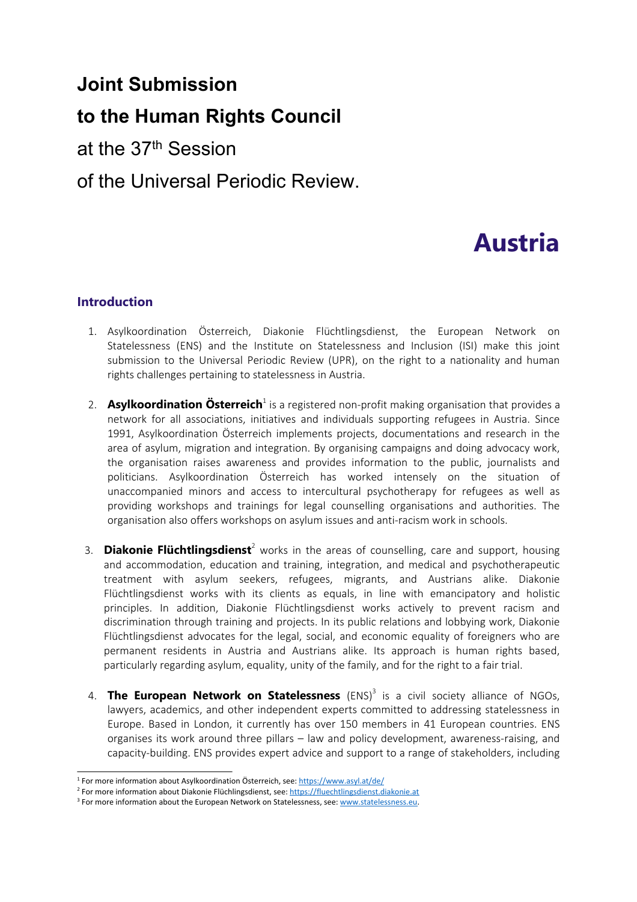## **Joint Submission**

## **to the Human Rights Council**

at the 37th Session

### of the Universal Periodic Review.

# **Austria**

#### **Introduction**

- 1. Asylkoordination Österreich, Diakonie Flüchtlingsdienst, the European Network on Statelessness (ENS) and the Institute on Statelessness and Inclusion (ISI) make this joint submission to the Universal Periodic Review (UPR), on the right to <sup>a</sup> nationality and human rights challenges pertaining to statelessness in Austria.
- 2. **Asylkoordination Österreich**<sup>1</sup> is a registered non-profit making organisation that provides a network for all associations, initiatives and individuals supporting refugees in Austria. Since 1991, Asylkoordination Österreich implements projects, documentations and research in the area of asylum, migration and integration. By organising campaigns and doing advocacy work, the organisation raises awareness and provides information to the public, journalists and politicians. Asylkoordination Österreich has worked intensely on the situation of unaccompanied minors and access to intercultural psychotherapy for refugees as well as providing workshops and trainings for legal counselling organisations and authorities. The organisation also offers workshops on asylum issues and anti-racism work in schools.
- 3. **Diakonie Flüchtlingsdienst**<sup>2</sup> works in the areas of counselling, care and support, housing and accommodation, education and training, integration, and medical and psychotherapeutic treatment with asylum seekers, refugees, migrants, and Austrians alike. Diakonie Flüchtlingsdienst works with its clients as equals, in line with emancipatory and holistic principles. In addition, Diakonie Flüchtlingsdienst works actively to prevent racism and discrimination through training and projects. In its public relations and lobbying work, Diakonie Flüchtlingsdienst advocates for the legal, social, and economic equality of foreigners who are permanent residents in Austria and Austrians alike. Its approach is human rights based, particularly regarding asylum, equality, unity of the family, and for the right to <sup>a</sup> fair trial.
- 4. **The European Network on Statelessness** (ENS) 3 is <sup>a</sup> civil society alliance of NGOs, lawyers, academics, and other independent experts committed to addressing statelessness in Europe. Based in London, it currently has over 150 members in 41 European countries. ENS organises its work around three pillars – law and policy development, awareness-raising, and capacity-building. ENS provides expert advice and support to <sup>a</sup> range of stakeholders, including

<sup>&</sup>lt;sup>1</sup> For more information about Asylkoordination Österreich, see: <https://www.asyl.at/de/>

<sup>&</sup>lt;sup>2</sup> For more information about Diakonie Flüchlingsdienst, see: [https://fluechtlingsdienst.diakonie.at](https://fluechtlingsdienst.diakonie.at/)

<sup>&</sup>lt;sup>3</sup> For more information about the European Network on Statelessness, see: [www.statelessness.eu](http://www.statelessness.eu).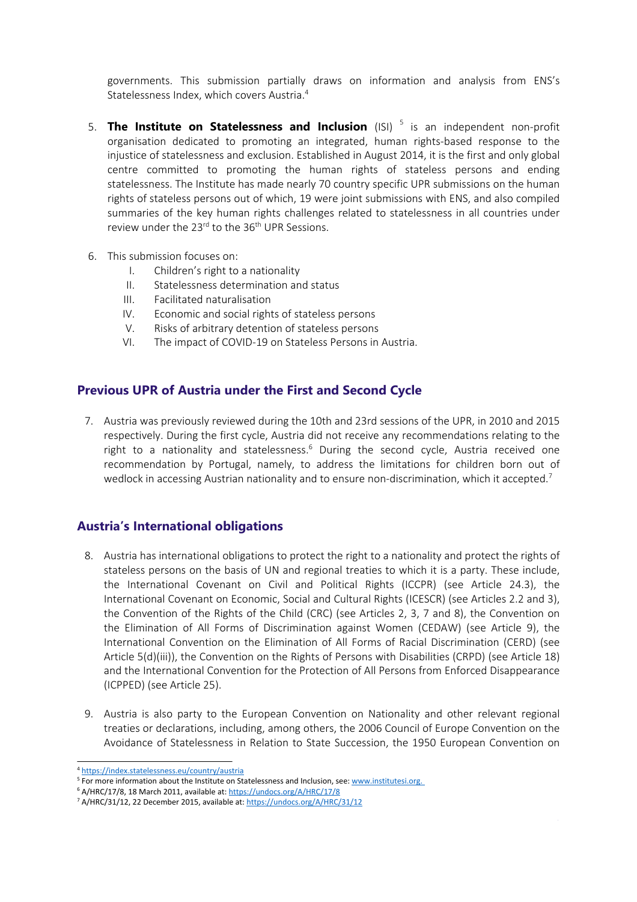governments. This submission partially draws on information and analysis from ENS'<sup>s</sup> Statelessness Index, which covers Austria. 4

- 5. **The Institute on Statelessness and Inclusion** (ISI) 5 is an independent non-profit organisation dedicated to promoting an integrated, human rights-based response to the injustice of statelessness and exclusion. Established in August 2014, it is the first and only global centre committed to promoting the human rights of stateless persons and ending statelessness. The Institute has made nearly 70 country specific UPR submissions on the human rights of stateless persons out of which, 19 were joint submissions with ENS, and also compiled summaries of the key human rights challenges related to statelessness in all countries under review under the 23<sup>rd</sup> to the 36<sup>th</sup> UPR Sessions.
- 6. This submission focuses on:
	- I. Children'<sup>s</sup> right to <sup>a</sup> nationality
	- II. Statelessness determination and status
	- III. Facilitated naturalisation
	- IV. Economic and social rights of stateless persons
	- V. Risks of arbitrary detention of stateless persons
	- VI. The impact of COVID-19 on Stateless Persons in Austria.

#### **Previous UPR of Austria under the First and Second Cycle**

7. Austria was previously reviewed during the 10th and 23rd sessions of the UPR, in 2010 and 2015 respectively. During the first cycle, Austria did not receive any recommendations relating to the right to a nationality and statelessness.<sup>6</sup> During the second cycle, Austria received one recommendation by Portugal, namely, to address the limitations for children born out of wedlock in accessing Austrian nationality and to ensure non-discrimination, which it accepted. 7

#### **Austria'<sup>s</sup> International obligations**

- 8. Austria has international obligations to protect the right to <sup>a</sup> nationality and protect the rights of stateless persons on the basis of UN and regional treaties to which it is <sup>a</sup> party. These include, the International Covenant on Civil and Political Rights (ICCPR) (see Article 24.3), the International Covenant on Economic, Social and Cultural Rights (ICESCR) (see Articles 2.2 and 3), the Convention of the Rights of the Child (CRC) (see Articles 2, 3, 7 and 8), the Convention on the Elimination of All Forms of Discrimination against Women (CEDAW) (see Article 9), the International Convention on the Elimination of All Forms of Racial Discrimination (CERD) (see Article 5(d)(iii)), the Convention on the Rights of Persons with Disabilities (CRPD) (see Article 18) and the International Convention for the Protection of All Persons from Enforced Disappearance (ICPPED) (see Article 25).
- 9. Austria is also party to the European Convention on Nationality and other relevant regional treaties or declarations, including, among others, the 2006 Council of Europe Convention on the Avoidance of Statelessness in Relation to State Succession, the 1950 European Convention on

<sup>4</sup> <https://index.statelessness.eu/country/austria>

<sup>&</sup>lt;sup>5</sup> For more information about the Institute on Statelessness and Inclusion, see: [www.institutesi.org](http://www.institutesi.org).

<sup>&</sup>lt;sup>6</sup> A/HRC/17/8, 18 March 2011, available at: <https://undocs.org/A/HRC/17/8>

<sup>&</sup>lt;sup>7</sup> A/HRC/31/12, 22 December 2015, available at: <https://undocs.org/A/HRC/31/12>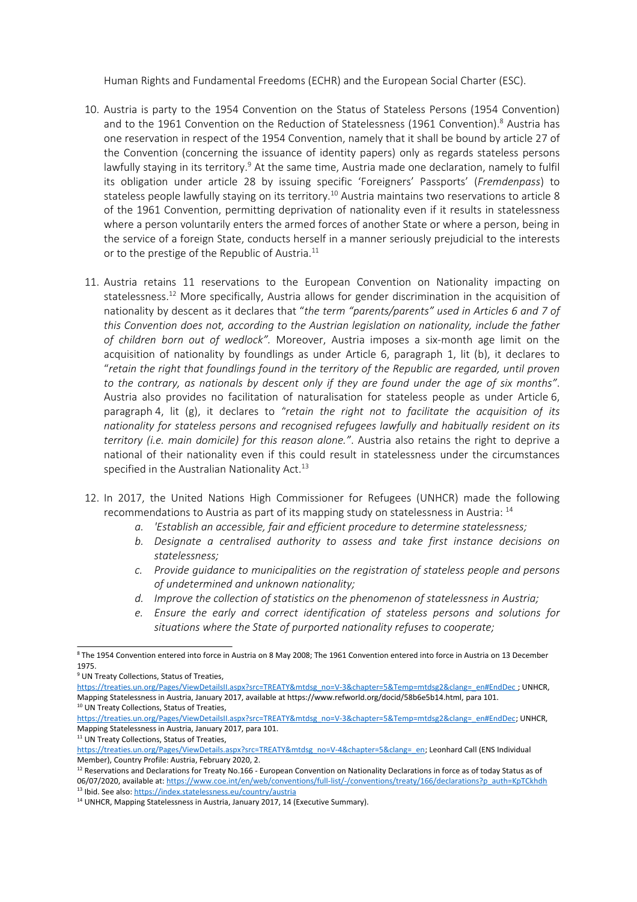Human Rights and Fundamental Freedoms (ECHR) and the European Social Charter (ESC).

- 10. Austria is party to the 1954 Convention on the Status of Stateless Persons (1954 Convention) and to the 1961 Convention on the Reduction of Statelessness (1961 Convention).<sup>8</sup> Austria has one reservation in respect of the 1954 Convention, namely that it shall be bound by article 27 of the Convention (concerning the issuance of identity papers) only as regards stateless persons lawfully staying in its territory.<sup>9</sup> At the same time, Austria made one declaration, namely to fulfil its obligation under article 28 by issuing specific 'Foreigners' Passports' (*Fremdenpass*) to stateless people lawfully staying on its territory.<sup>10</sup> Austria maintains two reservations to article 8 of the 1961 Convention, permitting deprivation of nationality even if it results in statelessness where <sup>a</sup> person voluntarily enters the armed forces of another State or where <sup>a</sup> person, being in the service of <sup>a</sup> foreign State, conducts herself in <sup>a</sup> manner seriously prejudicial to the interests or to the prestige of the Republic of Austria. $^{\rm 11}$
- 11. Austria retains 11 reservations to the European Convention on Nationality impacting on statelessness. <sup>12</sup> More specifically, Austria allows for gender discrimination in the acquisition of nationality by descent as it declares that "*the term "parents/parents" used in Articles 6 and 7 of this Convention does not, according to the Austrian legislation on nationality, include the father of children born out of wedlock".* Moreover, Austria imposes <sup>a</sup> six-month age limit on the acquisition of nationality by foundlings as under Article 6, paragraph 1, lit (b), it declares to "*retain the right that foundlings found in the territory of the Republic are regarded, until proven* to the contrary, as nationals by descent only if they are found under the age of six months". Austria also provides no facilitation of naturalisation for stateless people as under Article 6, paragraph 4, lit (g), it declares to *"retain the right not to facilitate the acquisition of its nationality for stateless persons and recognised refugees lawfully and habitually resident on its territory (i.e. main domicile) for this reason alone."*. Austria also retains the right to deprive <sup>a</sup> national of their nationality even if this could result in statelessness under the circumstances specified in the Australian Nationality Act.<sup>13</sup>
- 12. In 2017, the United Nations High Commissioner for Refugees (UNHCR) made the following recommendations to Austria as part of its mapping study on statelessness in Austria: <sup>14</sup>
	- *a. 'Establish an accessible, fair and efficient procedure to determine statelessness;*
	- *b. Designate <sup>a</sup> centralised authority to assess and take first instance decisions on statelessness;*
	- *c. Provide guidance to municipalities on the registration of stateless people and persons of undetermined and unknown nationality;*
	- *d. Improve the collection of statistics on the phenomenon of statelessness in Austria;*
	- *e. Ensure the early and correct identification of stateless persons and solutions for situations where the State of purported nationality refuses to cooperate;*

<sup>8</sup> The 1954 Convention entered into force in Austria on 8 May 2008; The 1961 Convention entered into force in Austria on 13 December 1975.

<sup>&</sup>lt;sup>9</sup> UN Treaty Collections, Status of Treaties,

[https://treaties.un.org/Pages/ViewDetailsII.aspx?src=TREATY&mtdsg\\_no=V-3&chapter=5&Temp=mtdsg2&clang=\\_en#EndDec](https://treaties.un.org/Pages/ViewDetailsII.aspx?src=TREATY&mtdsg_no=V-3&chapter=5&Temp=mtdsg2&clang=_en#EndDec) ; UNHCR, Mapping Statelessness in Austria, January 2017, available at https://www.refworld.org/docid/58b6e5b14.html, para 101. <sup>10</sup> UN Treaty Collections, Status of Treaties,

[https://treaties.un.org/Pages/ViewDetailsII.aspx?src=TREATY&mtdsg\\_no=V-3&chapter=5&Temp=mtdsg2&clang=\\_en#EndDec](https://treaties.un.org/Pages/ViewDetailsII.aspx?src=TREATY&mtdsg_no=V-3&chapter=5&Temp=mtdsg2&clang=_en#EndDec); UNHCR, Mapping Statelessness in Austria, January 2017, para 101.

<sup>&</sup>lt;sup>11</sup> UN Treaty Collections, Status of Treaties,

[https://treaties.un.org/Pages/ViewDetails.aspx?src=TREATY&mtdsg\\_no=V-4&chapter=5&clang=\\_en](https://treaties.un.org/Pages/ViewDetails.aspx?src=TREATY&mtdsg_no=V-4&chapter=5&clang=_en); Leonhard Call (ENS Individual Member), Country Profile: Austria, February 2020, 2.

 $^{12}$  Reservations and Declarations for Treaty No.166 - European Convention on Nationality Declarations in force as of today Status as of 06/07/2020, available at: [https://www.coe.int/en/web/conventions/full-list/-/conventions/treaty/166/declarations?p\\_auth=KpTCkhdh](https://www.coe.int/en/web/conventions/full-list/-/conventions/treaty/166/declarations?p_auth=KpTCkhdh) <sup>13</sup> Ibid. See also: <https://index.statelessness.eu/country/austria>

<sup>&</sup>lt;sup>14</sup> UNHCR, Mapping Statelessness in Austria, January 2017, 14 (Executive Summary).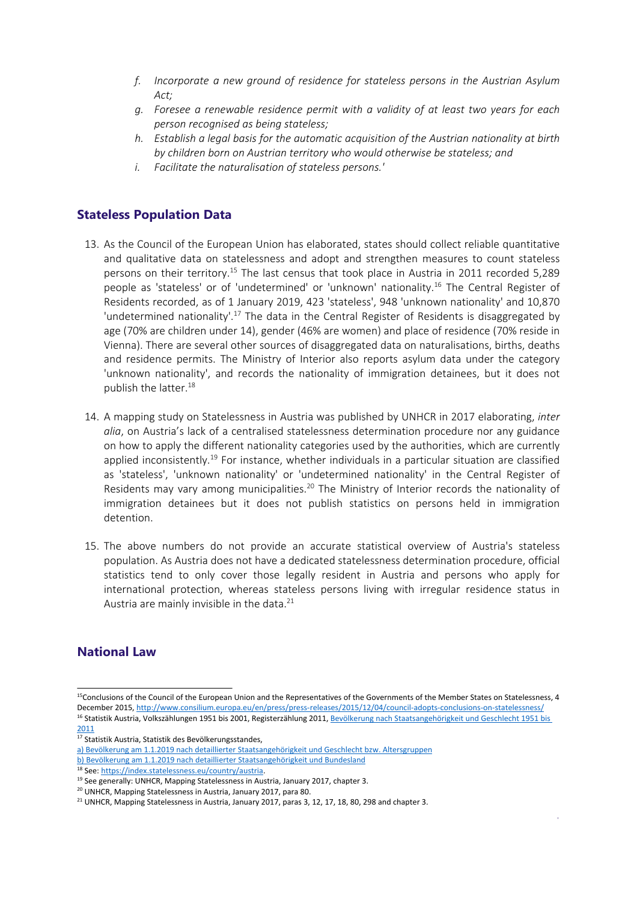- *f. Incorporate <sup>a</sup> new ground of residence for stateless persons in the Austrian Asylum Act;*
- *g. Foresee <sup>a</sup> renewable residence permit with <sup>a</sup> validity of at least two years for each person recognised as being stateless;*
- *h. Establish <sup>a</sup> legal basis for the automatic acquisition of the Austrian nationality at birth by children born on Austrian territory who would otherwise be stateless; and*
- *i. Facilitate the naturalisation of stateless persons.'*

#### **Stateless Population Data**

- 13. As the Council of the European Union has elaborated, states should collect reliable quantitative and qualitative data on statelessness and adopt and strengthen measures to count stateless persons on their territory.<sup>15</sup> The last census that took place in Austria in 2011 recorded 5,289 people as 'stateless' or of 'undetermined' or 'unknown' nationality. 16 The Central Register of Residents recorded, as of 1 January 2019, 423 'stateless', 948 'unknown nationality' and 10,870 'undetermined nationality'.<sup>17</sup> The data in the Central Register of Residents is disaggregated by age (70% are children under 14), gender (46% are women) and place of residence (70% reside in Vienna). There are several other sources of disaggregated data on naturalisations, births, deaths and residence permits. The Ministry of Interior also reports asylum data under the category 'unknown nationality', and records the nationality of immigration detainees, but it does not publish the latter. 18
- 14. A mapping study on Statelessness in Austria was published by UNHCR in 2017 elaborating, *inter alia*, on Austria'<sup>s</sup> lack of <sup>a</sup> centralised statelessness determination procedure nor any guidance on how to apply the different nationality categories used by the authorities, which are currently applied inconsistently.<sup>19</sup> For instance, whether individuals in a particular situation are classified as 'stateless', 'unknown nationality' or 'undetermined nationality' in the Central Register of Residents may vary among municipalities.<sup>20</sup> The Ministry of Interior records the nationality of immigration detainees but it does not publish statistics on persons held in immigration detention.
- 15. The above numbers do not provide an accurate statistical overview of Austria's stateless population. As Austria does not have <sup>a</sup> dedicated statelessness determination procedure, official statistics tend to only cover those legally resident in Austria and persons who apply for international protection, whereas stateless persons living with irregular residence status in Austria are mainly invisible in the data. 21

#### **National Law**

<sup>&</sup>lt;sup>15</sup>Conclusions of the Council of the European Union and the Representatives of the Governments of the Member States on Statelessness, 4 December 2015, <http://www.consilium.europa.eu/en/press/press-releases/2015/12/04/council-adopts-conclusions-on-statelessness/>

<sup>&</sup>lt;sup>16</sup> Statistik Austria, Volkszählungen 1951 bis 2001, Registerzählung 2011, Bevölkerung nach [Staatsangehörigkeit](https://www.statistik.at/web_de/statistiken/menschen_und_gesellschaft/bevoelkerung/volkszaehlungen_registerzaehlungen_abgestimmte_erwerbsstatistik/bevoelkerung_nach_demographischen_merkmalen/index.html#index2) und Geschlecht 1951 bis <u>[2011](https://www.statistik.at/web_de/statistiken/menschen_und_gesellschaft/bevoelkerung/volkszaehlungen_registerzaehlungen_abgestimmte_erwerbsstatistik/bevoelkerung_nach_demographischen_merkmalen/index.html#index2)</u><br><sup>17</sup> Statistik Austria, Statistik des Bevölkerungsstandes,

a) Bevölkerung am 1.1.2019 nach detaillierter [Staatsangehörigkeit](https://www.statistik.at/web_de/statistiken/menschen_und_gesellschaft/bevoelkerung/bevoelkerungsstruktur/bevoelkerung_nach_staatsangehoerigkeit_geburtsland/index.html) und Geschlecht bzw. Altersgruppen b) Bevölkerung am 1.1.2019 nach detaillierter [Staatsangehörigkeit](https://www.statistik.at/web_de/statistiken/menschen_und_gesellschaft/bevoelkerung/bevoelkerungsstruktur/bevoelkerung_nach_staatsangehoerigkeit_geburtsland/index.html) und Bundesland

<sup>&</sup>lt;sup>18</sup> See: <https://index.statelessness.eu/country/austria>.

<sup>&</sup>lt;sup>19</sup> See generally: UNHCR, Mapping Statelessness in Austria, January 2017, chapter 3.

<sup>&</sup>lt;sup>20</sup> UNHCR, Mapping Statelessness in Austria, January 2017, para 80.

 $^{21}$  UNHCR, Mapping Statelessness in Austria, January 2017, paras 3, 12, 17, 18, 80, 298 and chapter 3.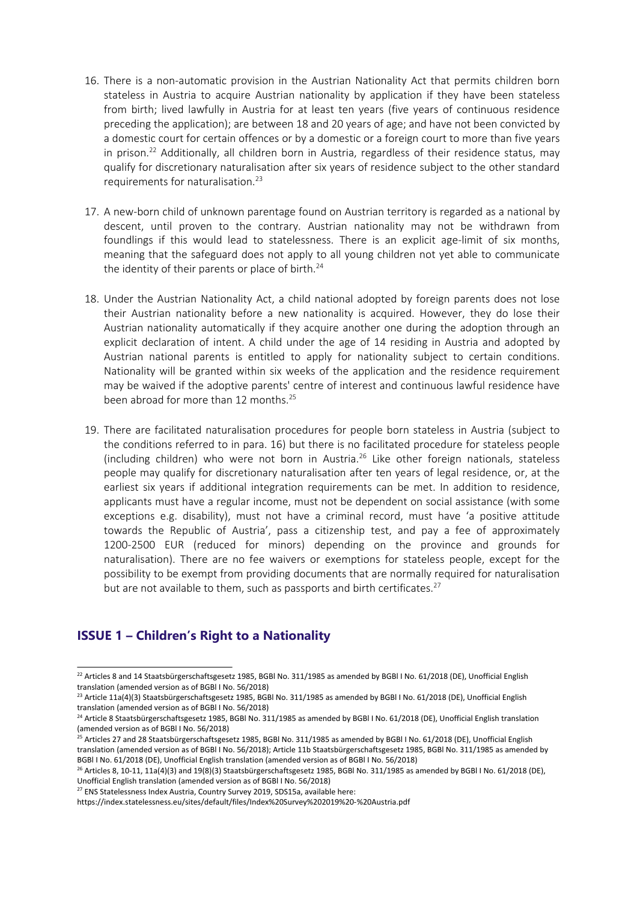- 16. There is <sup>a</sup> non-automatic provision in the Austrian Nationality Act that permits children born stateless in Austria to acquire Austrian nationality by application if they have been stateless from birth; lived lawfully in Austria for at least ten years (five years of continuous residence preceding the application); are between 18 and 20 years of age; and have not been convicted by <sup>a</sup> domestic court for certain offences or by <sup>a</sup> domestic or <sup>a</sup> foreign court to more than five years in prison. 22 Additionally, all children born in Austria, regardless of their residence status, may qualify for discretionary naturalisation after six years of residence subject to the other standard requirements for naturalisation. 23
- 17. A new-born child of unknown parentage found on Austrian territory is regarded as <sup>a</sup> national by descent, until proven to the contrary. Austrian nationality may not be withdrawn from foundlings if this would lead to statelessness. There is an explicit age-limit of six months, meaning that the safeguard does not apply to all young children not yet able to communicate the identity of their parents or place of birth.<sup>24</sup>
- 18. Under the Austrian Nationality Act, <sup>a</sup> child national adopted by foreign parents does not lose their Austrian nationality before <sup>a</sup> new nationality is acquired. However, they do lose their Austrian nationality automatically if they acquire another one during the adoption through an explicit declaration of intent. A child under the age of 14 residing in Austria and adopted by Austrian national parents is entitled to apply for nationality subject to certain conditions. Nationality will be granted within six weeks of the application and the residence requirement may be waived if the adoptive parents' centre of interest and continuous lawful residence have been abroad for more than 12 months. 25
- 19. There are facilitated naturalisation procedures for people born stateless in Austria (subject to the conditions referred to in para. 16) but there is no facilitated procedure for stateless people (including children) who were not born in Austria.<sup>26</sup> Like other foreign nationals, stateless people may qualify for discretionary naturalisation after ten years of legal residence, or, at the earliest six years if additional integration requirements can be met. In addition to residence, applicants must have <sup>a</sup> regular income, must not be dependent on social assistance (with some exceptions e.g. disability), must not have <sup>a</sup> criminal record, must have '<sup>a</sup> positive attitude towards the Republic of Austria', pass <sup>a</sup> citizenship test, and pay <sup>a</sup> fee of approximately 1200-2500 EUR (reduced for minors) depending on the province and grounds for naturalisation). There are no fee waivers or exemptions for stateless people, except for the possibility to be exempt from providing documents that are normally required for naturalisation but are not available to them, such as passports and birth certificates.<sup>27</sup>

#### **ISSUE 1 – Children'<sup>s</sup> Right to <sup>a</sup> Nationality**

 $^{22}$  Articles 8 and 14 Staatsbürgerschaftsgesetz 1985, BGBI No. 311/1985 as amended by BGBI I No. 61/2018 (DE), Unofficial English translation (amended version as of BGBl I No. 56/2018)

<sup>&</sup>lt;sup>23</sup> Article 11a(4)(3) Staatsbürgerschaftsgesetz 1985, BGBl No. 311/1985 as amended by BGBl I No. 61/2018 (DE), Unofficial English translation (amended version as of BGBl I No. 56/2018)

<sup>&</sup>lt;sup>24</sup> Article 8 Staatsbürgerschaftsgesetz 1985, BGBI No. 311/1985 as amended by BGBI I No. 61/2018 (DE), Unofficial English translation (amended version as of BGBl I No. 56/2018)

<sup>&</sup>lt;sup>25</sup> Articles 27 and 28 Staatsbürgerschaftsgesetz 1985, BGBI No. 311/1985 as amended by BGBI I No. 61/2018 (DE), Unofficial English translation (amended version as of BGBl I No. 56/2018); Article 11b Staatsbürgerschaftsgesetz 1985, BGBl No. 311/1985 as amended by BGBl I No. 61/2018 (DE), Unofficial English translation (amended version as of BGBl I No. 56/2018)

<sup>&</sup>lt;sup>26</sup> Articles 8, 10-11, 11a(4)(3) and 19(8)(3) Staatsbürgerschaftsgesetz 1985, BGBl No. 311/1985 as amended by BGBl I No. 61/2018 (DE), Unofficial English translation (amended version as of BGBl I No. 56/2018)

<sup>&</sup>lt;sup>27</sup> ENS Statelessness Index Austria, Country Survey 2019, SDS15a, available here:

https://index.statelessness.eu/sites/default/files/Index%20Survey%202019%20-%20Austria.pdf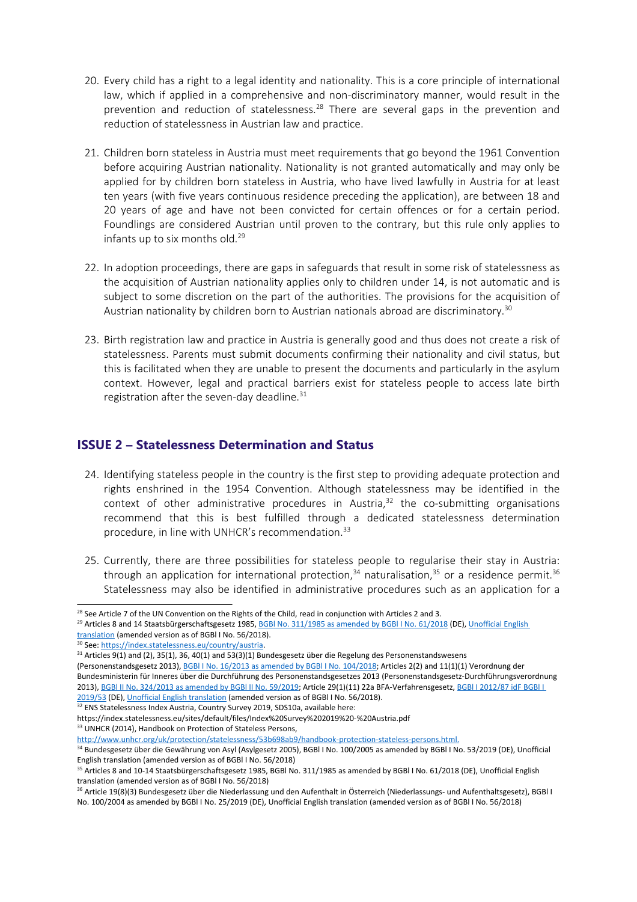- 20. Every child has <sup>a</sup> right to <sup>a</sup> legal identity and nationality. This is <sup>a</sup> core principle of international law, which if applied in <sup>a</sup> comprehensive and non-discriminatory manner, would result in the prevention and reduction of statelessness.<sup>28</sup> There are several gaps in the prevention and reduction of statelessness in Austrian law and practice.
- 21. Children born stateless in Austria must meet requirements that go beyond the 1961 Convention before acquiring Austrian nationality. Nationality is not granted automatically and may only be applied for by children born stateless in Austria, who have lived lawfully in Austria for at least ten years (with five years continuous residence preceding the application), are between 18 and 20 years of age and have not been convicted for certain offences or for <sup>a</sup> certain period. Foundlings are considered Austrian until proven to the contrary, but this rule only applies to infants up to six months old. 29
- 22. In adoption proceedings, there are gaps in safeguards that result in some risk of statelessness as the acquisition of Austrian nationality applies only to children under 14, is not automatic and is subject to some discretion on the part of the authorities. The provisions for the acquisition of Austrian nationality by children born to Austrian nationals abroad are discriminatory. 30
- 23. Birth registration law and practice in Austria is generally good and thus does not create <sup>a</sup> risk of statelessness. Parents must submit documents confirming their nationality and civil status, but this is facilitated when they are unable to present the documents and particularly in the asylum context. However, legal and practical barriers exist for stateless people to access late birth registration after the seven-day deadline. $^{\rm 31}$

#### **ISSUE 2 – Statelessness Determination and Status**

- 24. Identifying stateless people in the country is the first step to providing adequate protection and rights enshrined in the 1954 Convention. Although statelessness may be identified in the context of other administrative procedures in Austria, 32 the co-submitting organisations recommend that this is best fulfilled through <sup>a</sup> dedicated statelessness determination procedure, in line with UNHCR's recommendation.<sup>33</sup>
- 25. Currently, there are three possibilities for stateless people to regularise their stay in Austria: through an application for international protection,<sup>34</sup> naturalisation,<sup>35</sup> or a residence permit.<sup>36</sup> Statelessness may also be identified in administrative procedures such as an application for <sup>a</sup>

<sup>33</sup> UNHCR (2014), Handbook on Protection of Stateless Persons,

<sup>&</sup>lt;sup>28</sup> See Article 7 of the UN Convention on the Rights of the Child, read in conjunction with Articles 2 and 3.

<sup>&</sup>lt;sup>29</sup> Articles 8 and 14 Staatsbürgerschaftsgesetz 1985, BGBl No. [311/1985](https://www.ris.bka.gv.at/GeltendeFassung.wxe?Abfrage=Bundesnormen&Gesetzesnummer=10005579) as amended by BGBl I No. 61/2018 (DE), [Unofficial](https://www.refworld.org/docid/5c863d394.html) English [translation](https://www.refworld.org/docid/5c863d394.html) (amended version as of BGBl I No. 56/2018).

<sup>&</sup>lt;sup>30</sup> See: <https://index.statelessness.eu/country/austria>.

 $^{31}$  Articles 9(1) and (2), 35(1), 36, 40(1) and 53(3)(1) Bundesgesetz über die Regelung des Personenstandswesens

<sup>(</sup>Personenstandsgesetz 2013), BGBl I No. 16/2013 as amended by BGBl I No. [104/2018](https://www.ris.bka.gv.at/GeltendeFassung.wxe?Abfrage=Bundesnormen&Gesetzesnummer=20008228); Articles 2(2) and 11(1)(1) Verordnung der Bundesministerin für Inneres über die Durchführung des Personenstandsgesetzes 2013 (Personenstandsgesetz-Durchführungsverordnung 2013), BGBI II No. [324/2013](https://www.ris.bka.gv.at/GeltendeFassung.wxe?Abfrage=Bundesnormen&Gesetzesnummer=20008627) as amended by BGBI II No. 59/2019; Article 29(1)(11) 22a BFA-Verfahrensgesetz, BGBI I [2012/87](https://www.ris.bka.gv.at/GeltendeFassung.wxe?Abfrage=Bundesnormen&Gesetzesnummer=20007944) idF BGBI I [2019/53](https://www.ris.bka.gv.at/GeltendeFassung.wxe?Abfrage=Bundesnormen&Gesetzesnummer=20007944) (DE), Unofficial English [translation](https://www.refworld.org/docid/5c863e697.html) (amended version as of BGBl I No. 56/2018).

<sup>&</sup>lt;sup>32</sup> ENS Statelessness Index Austria, Country Survey 2019, SDS10a, available here:

https://index.statelessness.eu/sites/default/files/Index%20Survey%202019%20-%20Austria.pdf

<http://www.unhcr.org/uk/protection/statelessness/53b698ab9/handbook-protection-stateless-persons.html>. <sup>34</sup> Bundesgesetz über die Gewährung von Asyl (Asylgesetz 2005), BGBl I No. 100/2005 as amended by BGBl I No. 53/2019 (DE), Unofficial English translation (amended version as of BGBl I No. 56/2018)

<sup>&</sup>lt;sup>35</sup> Articles 8 and 10-14 Staatsbürgerschaftsgesetz 1985, BGBI No. 311/1985 as amended by BGBI I No. 61/2018 (DE), Unofficial English translation (amended version as of BGBl I No. 56/2018)

<sup>&</sup>lt;sup>36</sup> Article 19(8)(3) Bundesgesetz über die Niederlassung und den Aufenthalt in Österreich (Niederlassungs- und Aufenthaltsgesetz), BGBl I No. 100/2004 as amended by BGBl I No. 25/2019 (DE), Unofficial English translation (amended version as of BGBl I No. 56/2018)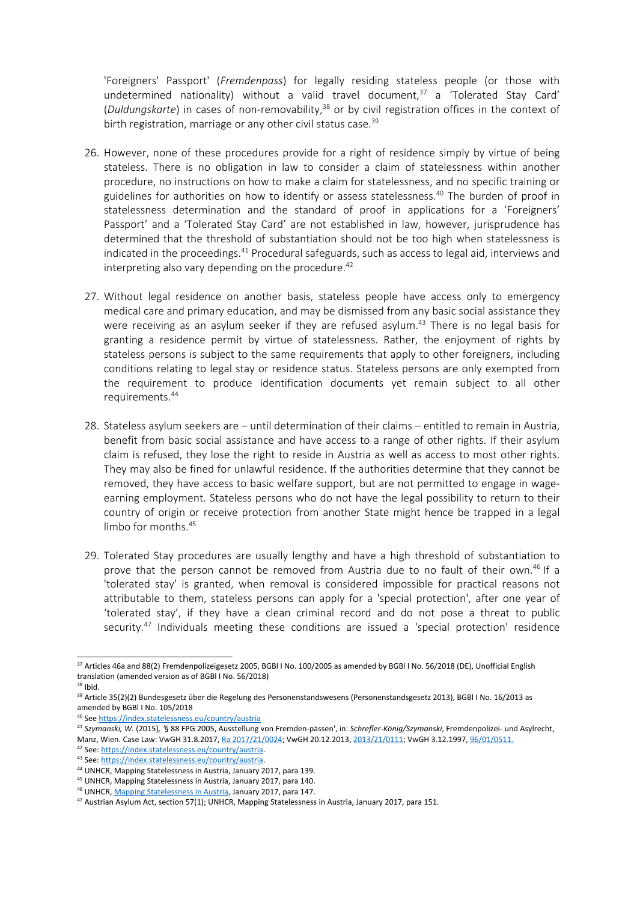'Foreigners' Passport' (*Fremdenpass*) for legally residing stateless people (or those with undetermined nationality) without a valid travel document,<sup>37</sup> a 'Tolerated Stay Card' (*Duldungskarte*) in cases of non-removability, 38 or by civil registration offices in the context of birth registration, marriage or any other civil status case.<sup>39</sup>

- 26. However, none of these procedures provide for <sup>a</sup> right of residence simply by virtue of being stateless. There is no obligation in law to consider <sup>a</sup> claim of statelessness within another procedure, no instructions on how to make <sup>a</sup> claim for statelessness, and no specific training or guidelines for authorities on how to identify or assess statelessness.<sup>40</sup> The burden of proof in statelessness determination and the standard of proof in applications for <sup>a</sup> 'Foreigners' Passport' and <sup>a</sup> 'Tolerated Stay Card' are not established in law, however, jurisprudence has determined that the threshold of substantiation should not be too high when statelessness is indicated in the proceedings.<sup>41</sup> Procedural safeguards, such as access to legal aid, interviews and interpreting also vary depending on the procedure. 42
- 27. Without legal residence on another basis, stateless people have access only to emergency medical care and primary education, and may be dismissed from any basic social assistance they were receiving as an asylum seeker if they are refused asylum. 43 There is no legal basis for granting <sup>a</sup> residence permit by virtue of statelessness. Rather, the enjoyment of rights by stateless persons is subject to the same requirements that apply to other foreigners, including conditions relating to legal stay or residence status. Stateless persons are only exempted from the requirement to produce identification documents yet remain subject to all other requirements. 44
- 28. Stateless asylum seekers are until determination of their claims entitled to remain in Austria, benefit from basic social assistance and have access to <sup>a</sup> range of other rights. If their asylum claim is refused, they lose the right to reside in Austria as well as access to most other rights. They may also be fined for unlawful residence. If the authorities determine that they cannot be removed, they have access to basic welfare support, but are not permitted to engage in wageearning employment. Stateless persons who do not have the legal possibility to return to their country of origin or receive protection from another State might hence be trapped in <sup>a</sup> legal limbo for months. 45
- 29. Tolerated Stay procedures are usually lengthy and have <sup>a</sup> high threshold of substantiation to prove that the person cannot be removed from Austria due to no fault of their own.<sup>46</sup> If a 'tolerated stay' is granted, when removal is considered impossible for practical reasons not attributable to them, stateless persons can apply for <sup>a</sup> 'special protection', after one year of 'tolerated stay', if they have <sup>a</sup> clean criminal record and do not pose <sup>a</sup> threat to public security. 47 Individuals meeting these conditions are issued <sup>a</sup> 'special protection' residence

<sup>&</sup>lt;sup>37</sup> Articles 46a and 88(2) Fremdenpolizeigesetz 2005, BGBl I No. 100/2005 as amended by BGBl I No. 56/2018 (DE), Unofficial English translation (amended version as of BGBl I No. 56/2018)

<sup>&</sup>lt;sup>38</sup> Ibid.

<sup>&</sup>lt;sup>39</sup> Article 35(2)(2) Bundesgesetz über die Regelung des Personenstandswesens (Personenstandsgesetz 2013), BGBl I No. 16/2013 as amended by BGBl I No. 105/2018

<sup>40</sup> See <https://index.statelessness.eu/country/austria>

<sup>41</sup> *Szymanski, W.* (2015)*, '*§ 88 FPG 2005, Ausstellung von Fremden-pässen', in: *Schrefler-König/Szymanski*, Fremdenpolizei- und Asylrecht, Manz, Wien. Case Law: VwGH 31.8.2017, Ra [2017/21/0024;](https://www.ris.bka.gv.at/Dokument.wxe?ResultFunctionToken=db4b5df8-5864-4cd1-841f-410b25e5b4a0&Position=1&Abfrage=Vwgh&Entscheidungsart=Undefined&Sammlungsnummer=&Index=&AenderungenSeit=Undefined&SucheNachRechtssatz=False&SucheNachText=True&GZ=&VonDatum=&BisDatum=29.07.2019&Norm=&ImRisSeitVonDatum=&ImRisSeitBisDatum=&ImRisSeit=Undefined&ResultPageSize=100&Suchworte=%27staatenlosigkeit%27&Dokumentnummer=JWT_2017210024_20170831L00) VwGH 20.12.2013, [2013/21/0111](https://www.ris.bka.gv.at/Dokument.wxe?Abfrage=Vwgh&Dokumentnummer=JWT_2013210111_20131220X00); VwGH 3.12.1997, [96/01/0511](https://www.ris.bka.gv.at/Dokument.wxe?Abfrage=Vwgh&Dokumentnummer=JWT_1996010511_19971203X00).

<sup>&</sup>lt;sup>42</sup> See: <https://index.statelessness.eu/country/austria>.

<sup>&</sup>lt;sup>43</sup> See: <https://index.statelessness.eu/country/austria>.

<sup>&</sup>lt;sup>44</sup> UNHCR, Mapping Statelessness in Austria, January 2017, para 139.

<sup>&</sup>lt;sup>45</sup> UNHCR, Mapping Statelessness in Austria, January 2017, para 140. <sup>46</sup> UNHCR, Mapping [Statelessness](https://www.refworld.org/docid/58b6e5b14.html) in Austria, January 2017, para 147.

<sup>&</sup>lt;sup>47</sup> Austrian Asylum Act, section 57(1); UNHCR, Mapping Statelessness in Austria, January 2017, para 151.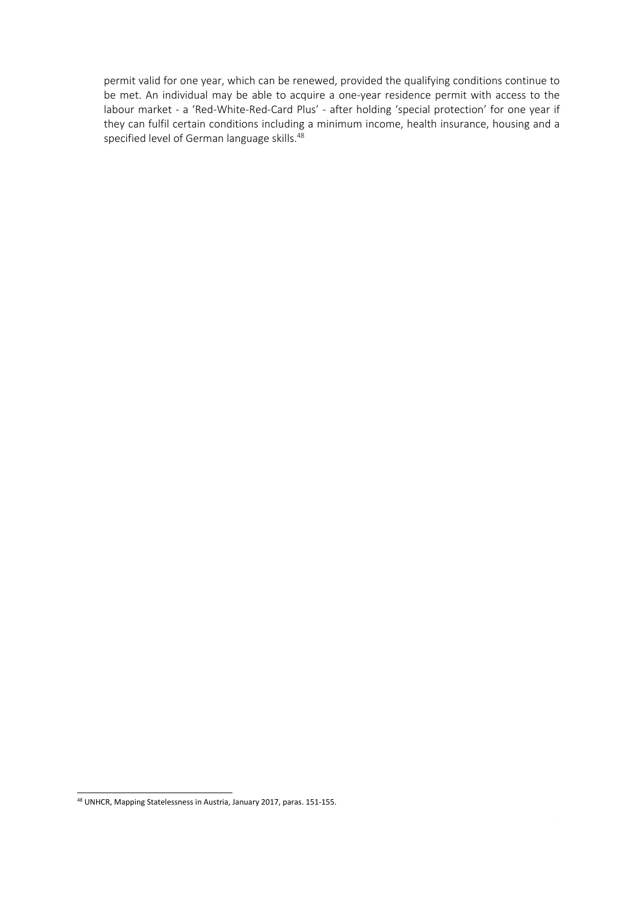permit valid for one year, which can be renewed, provided the qualifying conditions continue to be met. An individual may be able to acquire <sup>a</sup> one-year residence permit with access to the labour market - <sup>a</sup> 'Red-White-Red-Card Plus' - after holding 'special protection' for one year if they can fulfil certain conditions including <sup>a</sup> minimum income, health insurance, housing and <sup>a</sup> specified level of German language skills. 48

<sup>&</sup>lt;sup>48</sup> UNHCR, Mapping Statelessness in Austria, January 2017, paras. 151-155.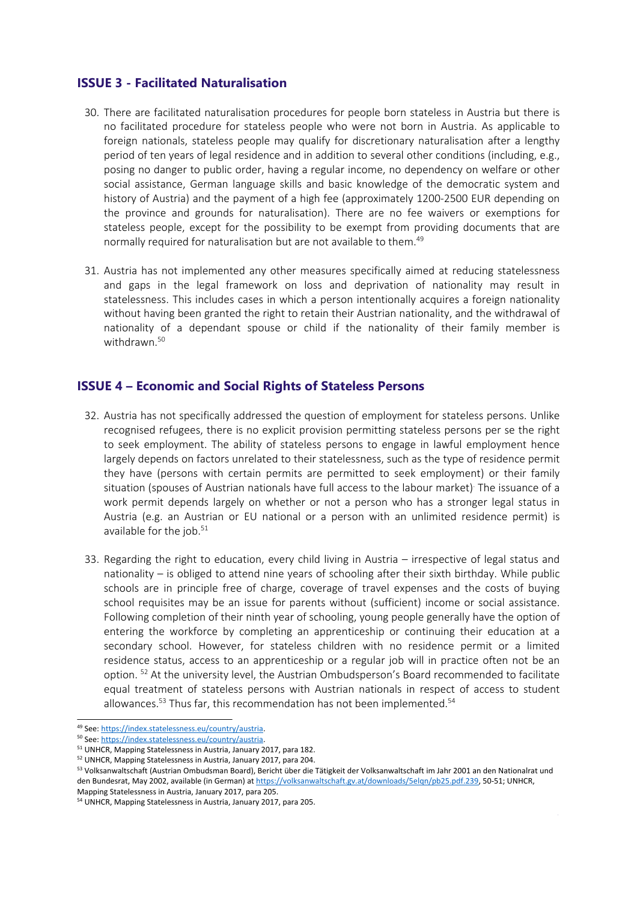#### **ISSUE 3 - Facilitated Naturalisation**

- 30. There are facilitated naturalisation procedures for people born stateless in Austria but there is no facilitated procedure for stateless people who were not born in Austria. As applicable to foreign nationals, stateless people may qualify for discretionary naturalisation after <sup>a</sup> lengthy period of ten years of legal residence and in addition to several other conditions (including, e.g., posing no danger to public order, having <sup>a</sup> regular income, no dependency on welfare or other social assistance, German language skills and basic knowledge of the democratic system and history of Austria) and the payment of <sup>a</sup> high fee (approximately 1200-2500 EUR depending on the province and grounds for naturalisation). There are no fee waivers or exemptions for stateless people, except for the possibility to be exempt from providing documents that are normally required for naturalisation but are not available to them. 49
- 31. Austria has not implemented any other measures specifically aimed at reducing statelessness and gaps in the legal framework on loss and deprivation of nationality may result in statelessness. This includes cases in which <sup>a</sup> person intentionally acquires <sup>a</sup> foreign nationality without having been granted the right to retain their Austrian nationality, and the withdrawal of nationality of <sup>a</sup> dependant spouse or child if the nationality of their family member is withdrawn. 50

#### **ISSUE 4 – Economic and Social Rights of Stateless Persons**

- 32. Austria has not specifically addressed the question of employment for stateless persons. Unlike recognised refugees, there is no explicit provision permitting stateless persons per se the right to seek employment. The ability of stateless persons to engage in lawful employment hence largely depends on factors unrelated to their statelessness, such as the type of residence permit they have (persons with certain permits are permitted to seek employment) or their family situation (spouses of Austrian nationals have full access to the labour market) . The issuance of <sup>a</sup> work permit depends largely on whether or not <sup>a</sup> person who has <sup>a</sup> stronger legal status in Austria (e.g. an Austrian or EU national or <sup>a</sup> person with an unlimited residence permit) is available for the job.<sup>51</sup>
- 33. Regarding the right to education, every child living in Austria irrespective of legal status and nationality – is obliged to attend nine years of schooling after their sixth birthday. While public schools are in principle free of charge, coverage of travel expenses and the costs of buying school requisites may be an issue for parents without (sufficient) income or social assistance. Following completion of their ninth year of schooling, young people generally have the option of entering the workforce by completing an apprenticeship or continuing their education at <sup>a</sup> secondary school. However, for stateless children with no residence permit or <sup>a</sup> limited residence status, access to an apprenticeship or <sup>a</sup> regular job will in practice often not be an option. <sup>52</sup> At the university level, the Austrian Ombudsperson's Board recommended to facilitate equal treatment of stateless persons with Austrian nationals in respect of access to student allowances.<sup>53</sup> Thus far, this recommendation has not been implemented.<sup>54</sup>

<sup>&</sup>lt;sup>49</sup> See: <https://index.statelessness.eu/country/austria>.

<sup>&</sup>lt;sup>50</sup> See: <https://index.statelessness.eu/country/austria>.

<sup>&</sup>lt;sup>51</sup> UNHCR, Mapping Statelessness in Austria, January 2017, para 182.

<sup>&</sup>lt;sup>52</sup> UNHCR, Mapping Statelessness in Austria, January 2017, para 204.

<sup>53</sup> Volksanwaltschaft (Austrian Ombudsman Board), Bericht über die Tätigkeit der Volksanwaltschaft im Jahr 2001 an den Nationalrat und den Bundesrat, May 2002, available (in German) at <https://volksanwaltschaft.gv.at/downloads/5elqn/pb25.pdf.239>, 50-51; UNHCR, Mapping Statelessness in Austria, January 2017, para 205.

<sup>&</sup>lt;sup>54</sup> UNHCR, Mapping Statelessness in Austria, January 2017, para 205.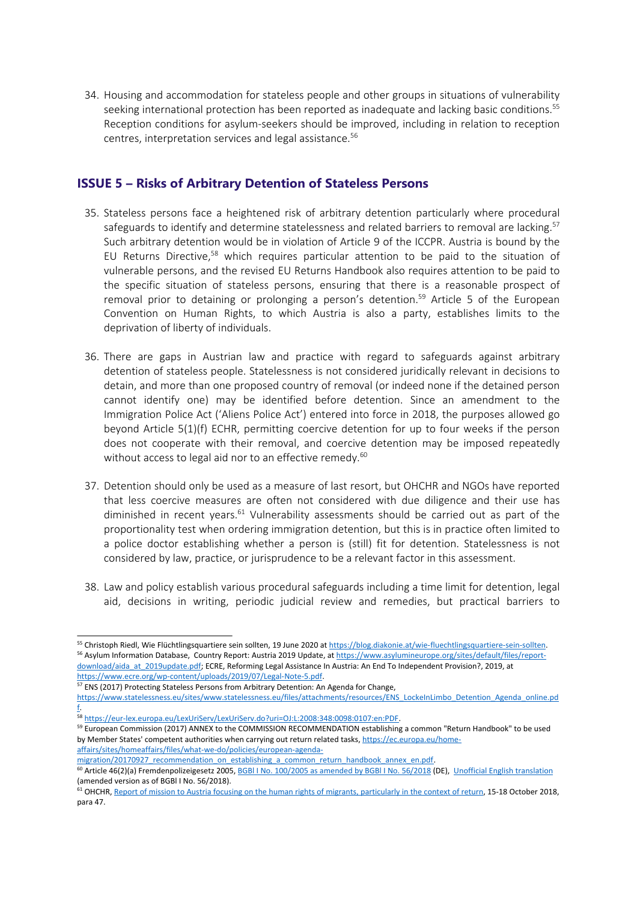34. Housing and accommodation for stateless people and other groups in situations of vulnerability seeking international protection has been reported as inadequate and lacking basic conditions.<sup>55</sup> Reception conditions for asylum-seekers should be improved, including in relation to reception centres, interpretation services and legal assistance. 56

#### **ISSUE 5 – Risks of Arbitrary Detention of Stateless Persons**

- 35. Stateless persons face <sup>a</sup> heightened risk of arbitrary detention particularly where procedural safeguards to identify and determine statelessness and related barriers to removal are lacking.<sup>57</sup> Such arbitrary detention would be in violation of Article 9 of the ICCPR. Austria is bound by the EU Returns Directive, 58 which requires particular attention to be paid to the situation of vulnerable persons, and the revised EU Returns Handbook also requires attention to be paid to the specific situation of stateless persons, ensuring that there is <sup>a</sup> reasonable prospect of removal prior to detaining or prolonging a person's detention.<sup>59</sup> Article 5 of the European Convention on Human Rights, to which Austria is also <sup>a</sup> party, establishes limits to the deprivation of liberty of individuals.
- 36. There are gaps in Austrian law and practice with regard to safeguards against arbitrary detention of stateless people. Statelessness is not considered juridically relevant in decisions to detain, and more than one proposed country of removal (or indeed none if the detained person cannot identify one) may be identified before detention. Since an amendment to the Immigration Police Act ('Aliens Police Act') entered into force in 2018, the purposes allowed go beyond Article 5(1)(f) ECHR, permitting coercive detention for up to four weeks if the person does not cooperate with their removal, and coercive detention may be imposed repeatedly without access to legal aid nor to an effective remedy. 60
- 37. Detention should only be used as <sup>a</sup> measure of last resort, but OHCHR and NGOs have reported that less coercive measures are often not considered with due diligence and their use has diminished in recent years.<sup>61</sup> Vulnerability assessments should be carried out as part of the proportionality test when ordering immigration detention, but this is in practice often limited to <sup>a</sup> police doctor establishing whether <sup>a</sup> person is (still) fit for detention. Statelessness is not considered by law, practice, or jurisprudence to be <sup>a</sup> relevant factor in this assessment.
- 38. Law and policy establish various procedural safeguards including <sup>a</sup> time limit for detention, legal aid, decisions in writing, periodic judicial review and remedies, but practical barriers to

[migration/20170927\\_recommendation\\_on\\_establishing\\_a\\_common\\_return\\_handbook\\_annex\\_en.pdf](https://ec.europa.eu/home-affairs/sites/homeaffairs/files/what-we-do/policies/european-agenda-migration/20170927_recommendation_on_establishing_a_common_return_handbook_annex_en.pdf).

<sup>&</sup>lt;sup>55</sup> Christoph Riedl, Wie Flüchtlingsquartiere sein sollten, 19 June 2020 at <https://blog.diakonie.at/wie-fluechtlingsquartiere-sein-sollten>. <sup>56</sup> Asylum Information Database, Country Report: Austria 2019 Update, at [https://www.asylumineurope.org/sites/default/files/report](https://www.asylumineurope.org/sites/default/files/report-download/aida_at_2019update.pdf)[download/aida\\_at\\_2019update.pdf](https://www.asylumineurope.org/sites/default/files/report-download/aida_at_2019update.pdf); ECRE, Reforming Legal Assistance In Austria: An End To Independent Provision?, 2019, at <https://www.ecre.org/wp-content/uploads/2019/07/Legal-Note-5.pdf>.

<sup>&</sup>lt;sup>57</sup> ENS (2017) Protecting Stateless Persons from Arbitrary Detention: An Agenda for Change,

[https://www.statelessness.eu/sites/www.statelessness.eu/files/attachments/resources/ENS\\_LockeInLimbo\\_Detention\\_Agenda\\_online.pd](https://www.statelessness.eu/sites/www.statelessness.eu/files/attachments/resources/ENS_LockeInLimbo_Detention_Agenda_online.pdf) [f](https://www.statelessness.eu/sites/www.statelessness.eu/files/attachments/resources/ENS_LockeInLimbo_Detention_Agenda_online.pdf).

<sup>58</sup> <https://eur-lex.europa.eu/LexUriServ/LexUriServ.do?uri=OJ:L:2008:348:0098:0107:en:PDF>.

<sup>&</sup>lt;sup>59</sup> European Commission (2017) ANNEX to the COMMISSION RECOMMENDATION establishing a common "Return Handbook" to be used by Member States' competent authorities when carrying out return related tasks, [https://ec.europa.eu/home](https://ec.europa.eu/home-affairs/sites/homeaffairs/files/what-we-do/policies/european-agenda-migration/20170927_recommendation_on_establishing_a_common_return_handbook_annex_en.pdf)[affairs/sites/homeaffairs/files/what-we-do/policies/european-agenda-](https://ec.europa.eu/home-affairs/sites/homeaffairs/files/what-we-do/policies/european-agenda-migration/20170927_recommendation_on_establishing_a_common_return_handbook_annex_en.pdf)

<sup>&</sup>lt;sup>60</sup> Article 46(2)(a) Fremdenpolizeigesetz 2005, BGBI I No. [100/2005](https://www.ris.bka.gv.at/GeltendeFassung.wxe?Abfrage=Bundesnormen&Gesetzesnummer=20004241) as amended by BGBI I No. 56/2018 (DE), Unofficial English [translation](https://www.refworld.org/docid/5c8626fa7.html) (amended version as of BGBl I No. 56/2018).

<sup>&</sup>lt;sup>61</sup> OHCHR, Report of mission to Austria focusing on the human rights of migrants, [particularly](https://www.ohchr.org/Documents/Countries/AT/AustriaReport.pdf) in the context of return, 15-18 October 2018, para 47.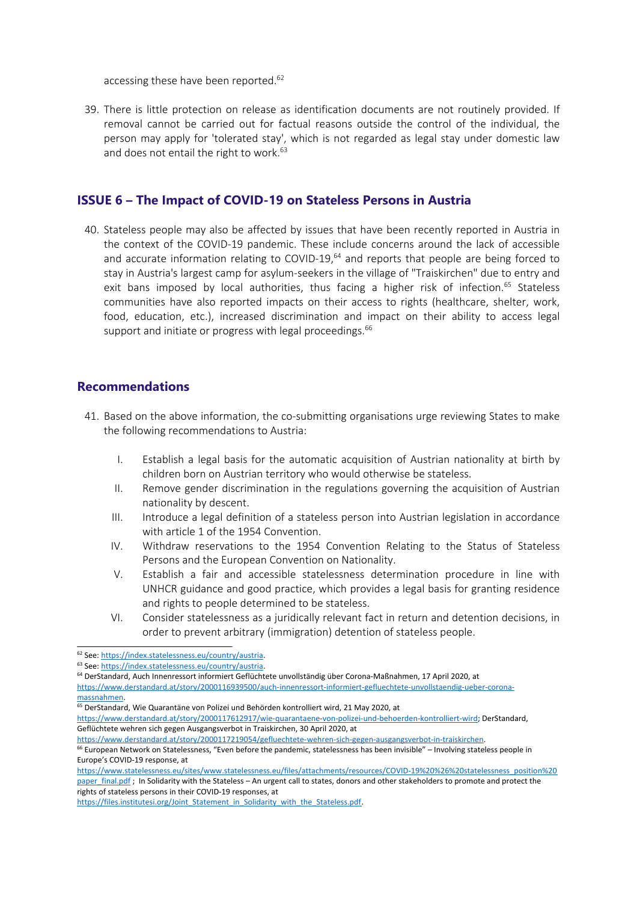accessing these have been reported.<sup>62</sup>

39. There is little protection on release as identification documents are not routinely provided. If removal cannot be carried out for factual reasons outside the control of the individual, the person may apply for 'tolerated stay', which is not regarded as legal stay under domestic law and does not entail the right to work. 63

#### **ISSUE 6 – The Impact of COVID-19 on Stateless Persons in Austria**

40. Stateless people may also be affected by issues that have been recently reported in Austria in the context of the COVID-19 pandemic. These include concerns around the lack of accessible and accurate information relating to COVID-19,<sup>64</sup> and reports that people are being forced to stay in Austria's largest camp for asylum-seekers in the village of "Traiskirchen" due to entry and exit bans imposed by local authorities, thus facing a higher risk of infection.<sup>65</sup> Stateless communities have also reported impacts on their access to rights (healthcare, shelter, work, food, education, etc.), increased discrimination and impact on their ability to access legal support and initiate or progress with legal proceedings.<sup>66</sup>

#### **Recommendations**

- 41. Based on the above information, the co-submitting organisations urge reviewing States to make the following recommendations to Austria:
	- I. Establish <sup>a</sup> legal basis for the automatic acquisition of Austrian nationality at birth by children born on Austrian territory who would otherwise be stateless.
	- II. Remove gender discrimination in the regulations governing the acquisition of Austrian nationality by descent.
	- III. Introduce <sup>a</sup> legal definition of <sup>a</sup> stateless person into Austrian legislation in accordance with article 1 of the 1954 Convention.
	- IV. Withdraw reservations to the 1954 Convention Relating to the Status of Stateless Persons and the European Convention on Nationality.
	- V. Establish <sup>a</sup> fair and accessible statelessness determination procedure in line with UNHCR guidance and good practice, which provides <sup>a</sup> legal basis for granting residence and rights to people determined to be stateless.
	- VI. Consider statelessness as <sup>a</sup> juridically relevant fact in return and detention decisions, in order to prevent arbitrary (immigration) detention of stateless people.

- <sup>64</sup> DerStandard, Auch Innenressort informiert Geflüchtete unvollständig über Corona-Maßnahmen, 17 April 2020, at
- [https://www.derstandard.at/story/2000116939500/auch-innenressort-informiert-gefluechtete-unvollstaendig-ueber-corona](https://www.derstandard.at/story/2000116939500/auch-innenressort-informiert-gefluechtete-unvollstaendig-ueber-corona-massnahmen)[massnahmen](https://www.derstandard.at/story/2000116939500/auch-innenressort-informiert-gefluechtete-unvollstaendig-ueber-corona-massnahmen).

<sup>&</sup>lt;sup>62</sup> See: <https://index.statelessness.eu/country/austria>.

<sup>&</sup>lt;sup>63</sup> See: <https://index.statelessness.eu/country/austria>.

<sup>&</sup>lt;sup>65</sup> DerStandard, Wie Quarantäne von Polizei und Behörden kontrolliert wird, 21 May 2020, at

<https://www.derstandard.at/story/2000117612917/wie-quarantaene-von-polizei-und-behoerden-kontrolliert-wird>; DerStandard, Geflüchtete wehren sich gegen Ausgangsverbot in Traiskirchen, 30 April 2020, at

<https://www.derstandard.at/story/2000117219054/gefluechtete-wehren-sich-gegen-ausgangsverbot-in-traiskirchen>. <sup>66</sup> European Network on Statelessness, "Even before the pandemic, statelessness has been invisible" – Involving stateless people in Europe'<sup>s</sup> COVID-19 response, at

[https://www.statelessness.eu/sites/www.statelessness.eu/files/attachments/resources/COVID-19%20%26%20statelessness\\_position%20](https://www.statelessness.eu/sites/www.statelessness.eu/files/attachments/resources/COVID-19%20%26%20statelessness_position%20paper_final.pdf) [paper\\_final.pdf](https://www.statelessness.eu/sites/www.statelessness.eu/files/attachments/resources/COVID-19%20%26%20statelessness_position%20paper_final.pdf) ; In Solidarity with the Stateless – An urgent call to states, donors and other stakeholders to promote and protect the rights of stateless persons in their COVID-19 responses, at

https://files.institutesi.org/Joint Statement in Solidarity with the Stateless.pdf.